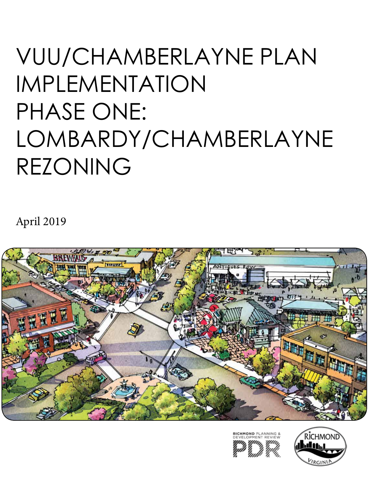# VUU/CHAMBERLAYNE PLAN IMPLEMENTATION PHASE ONE: LOMBARDY/CHAMBERLAYNE REZONING

April 2019





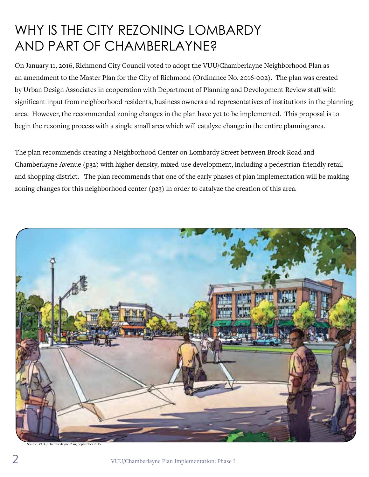#### WHY IS THE CITY REZONING LOMBARDY AND PART OF CHAMBERLAYNE?

On January 11, 2016, Richmond City Council voted to adopt the VUU/Chamberlayne Neighborhood Plan as an amendment to the Master Plan for the City of Richmond (Ordinance No. 2016-002). The plan was created by Urban Design Associates in cooperation with Department of Planning and Development Review staff with significant input from neighborhood residents, business owners and representatives of institutions in the planning area. However, the recommended zoning changes in the plan have yet to be implemented. This proposal is to begin the rezoning process with a single small area which will catalyze change in the entire planning area.

The plan recommends creating a Neighborhood Center on Lombardy Street between Brook Road and Chamberlayne Avenue (p32) with higher density, mixed-use development, including a pedestrian-friendly retail and shopping district. The plan recommends that one of the early phases of plan implementation will be making zoning changes for this neighborhood center (p23) in order to catalyze the creation of this area.



urce: VUU/Chamberlayne Plan, September 201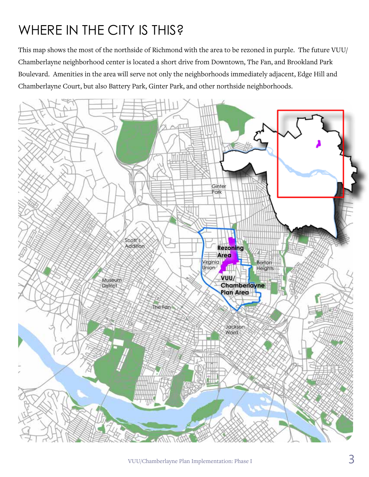# WHERE IN THE CITY IS THIS?

This map shows the most of the northside of Richmond with the area to be rezoned in purple. The future VUU/ Chamberlayne neighborhood center is located a short drive from Downtown, The Fan, and Brookland Park Boulevard. Amenities in the area will serve not only the neighborhoods immediately adjacent, Edge Hill and Chamberlayne Court, but also Battery Park, Ginter Park, and other northside neighborhoods.

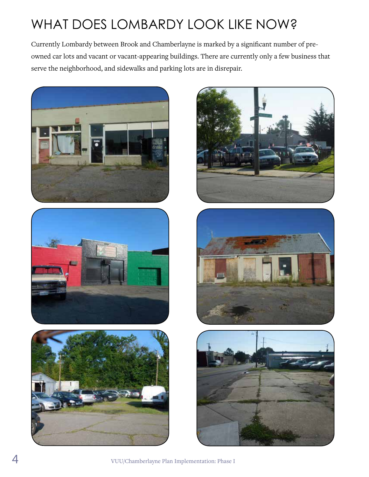# WHAT DOES LOMBARDY LOOK LIKE NOW?

Currently Lombardy between Brook and Chamberlayne is marked by a significant number of preowned car lots and vacant or vacant-appearing buildings. There are currently only a few business that serve the neighborhood, and sidewalks and parking lots are in disrepair.











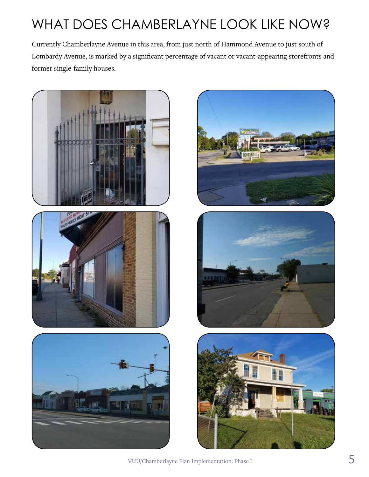# WHAT DOES CHAMBERLAYNE LOOK LIKE NOW?

Currently Chamberlayne Avenue in this area, from just north of Hammond Avenue to just south of Lombardy Avenue, is marked by a significant percentage of vacant or vacant-appearing storefronts and former single-family houses.





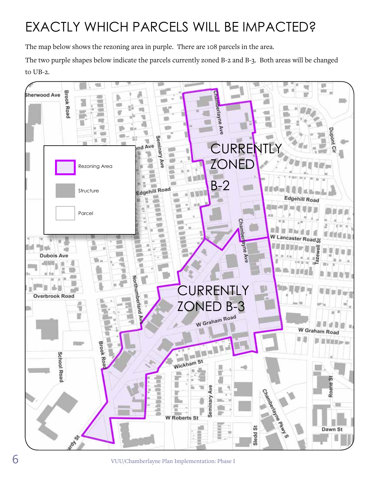# EXACTLY WHICH PARCELS WILL BE IMPACTED?

The map below shows the rezoning area in purple. There are 108 parcels in the area.

The two purple shapes below indicate the parcels currently zoned B-2 and B-3. Both areas will be changed to UB-2.

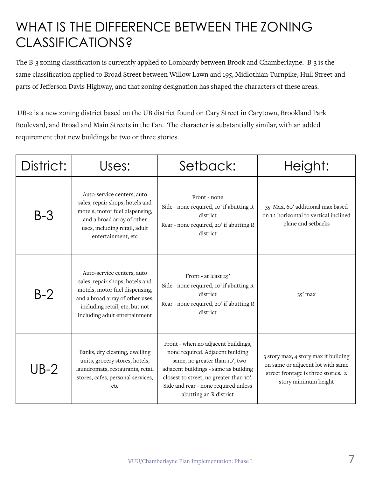#### WHAT IS THE DIFFERENCE BETWEEN THE ZONING CLASSIFICATIONS?

The B-3 zoning classification is currently applied to Lombardy between Brook and Chamberlayne. B-3 is the same classification applied to Broad Street between Willow Lawn and 195, Midlothian Turnpike, Hull Street and parts of Jefferson Davis Highway, and that zoning designation has shaped the characters of these areas.

 UB-2 is a new zoning district based on the UB district found on Cary Street in Carytown, Brookland Park Boulevard, and Broad and Main Streets in the Fan. The character is substantially similar, with an added requirement that new buildings be two or three stories.

| District: | Uses:                                                                                                                                                                                                  | Setback:                                                                                                                                                                                                                                                          | Height:                                                                                                                                  |
|-----------|--------------------------------------------------------------------------------------------------------------------------------------------------------------------------------------------------------|-------------------------------------------------------------------------------------------------------------------------------------------------------------------------------------------------------------------------------------------------------------------|------------------------------------------------------------------------------------------------------------------------------------------|
| $B-3$     | Auto-service centers, auto<br>sales, repair shops, hotels and<br>motels, motor fuel dispensing,<br>and a broad array of other<br>uses, including retail, adult<br>entertainment, etc                   | Front - none<br>Side - none required, 10' if abutting R<br>district<br>Rear - none required, 20' if abutting R<br>district                                                                                                                                        | 35' Max, 60' additional max based<br>on 1:1 horizontal to vertical inclined<br>plane and setbacks                                        |
| $B-2$     | Auto-service centers, auto<br>sales, repair shops, hotels and<br>motels, motor fuel dispensing,<br>and a broad array of other uses,<br>including retail, etc, but not<br>including adult entertainment | Front - at least 25'<br>Side - none required, 10' if abutting R<br>district<br>Rear - none required, 20' if abutting R<br>district                                                                                                                                | $35'$ max                                                                                                                                |
| $UB-2$    | Banks, dry cleaning, dwelling<br>units, grocery stores, hotels,<br>laundromats, restaurants, retail<br>stores, cafes, personal services,<br>etc                                                        | Front - when no adjacent buildings,<br>none required. Adjacent building<br>- same, no greater than 10', two<br>adjacent buildings - same as building<br>closest to street, no greater than 10'.<br>Side and rear - none required unless<br>abutting an R district | 3 story max, 4 story max if building<br>on same or adjacent lot with same<br>street frontage is three stories. 2<br>story minimum height |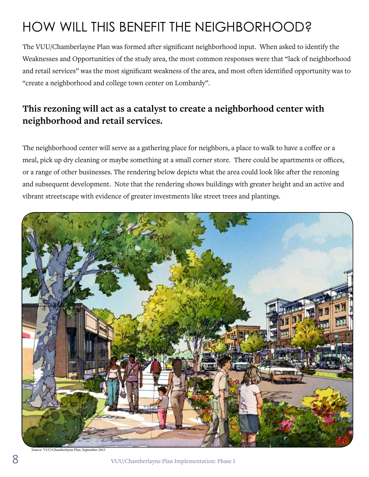## HOW WILL THIS BENEFIT THE NEIGHBORHOOD?

The VUU/Chamberlayne Plan was formed after significant neighborhood input. When asked to identify the Weaknesses and Opportunities of the study area, the most common responses were that "lack of neighborhood and retail services" was the most significant weakness of the area, and most often identified opportunity was to "create a neighborhood and college town center on Lombardy".

#### **This rezoning will act as a catalyst to create a neighborhood center with neighborhood and retail services.**

The neighborhood center will serve as a gathering place for neighbors, a place to walk to have a coffee or a meal, pick up dry cleaning or maybe something at a small corner store. There could be apartments or offices, or a range of other businesses. The rendering below depicts what the area could look like after the rezoning and subsequent development. Note that the rendering shows buildings with greater height and an active and vibrant streetscape with evidence of greater investments like street trees and plantings.



Source: VUU/Chamberlayne Plan, September 2015

<sup>8</sup> VUU/Chamberlayne Plan Implementation: Phase I